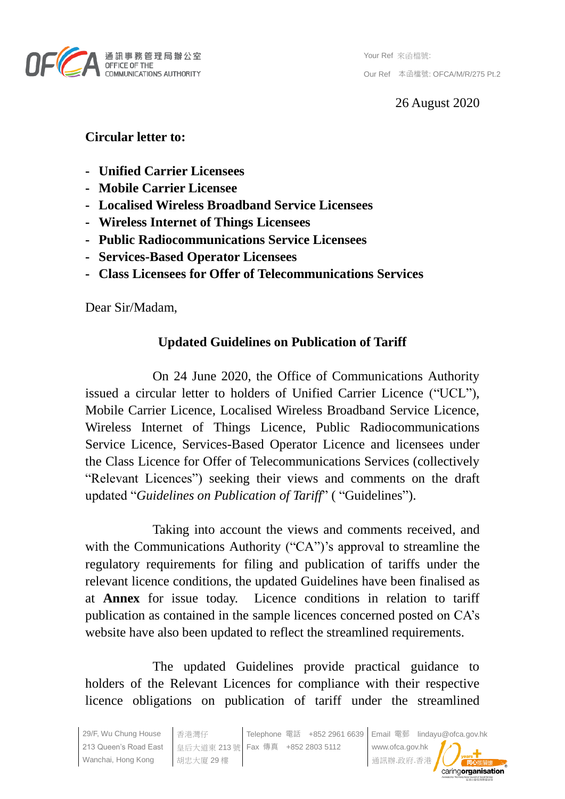

Your Ref 來函檔號: Our Ref 本函檔號: OFCA/M/R/275 Pt.2

26 August 2020

# **Circular letter to:**

- **- Unified Carrier Licensees**
- **- Mobile Carrier Licensee**
- **- Localised Wireless Broadband Service Licensees**
- **- Wireless Internet of Things Licensees**
- **- Public Radiocommunications Service Licensees**
- **- Services-Based Operator Licensees**
- **- Class Licensees for Offer of Telecommunications Services**

Dear Sir/Madam,

# **Updated Guidelines on Publication of Tariff**

On 24 June 2020, the Office of Communications Authority issued a circular letter to holders of Unified Carrier Licence ("UCL"), Mobile Carrier Licence, Localised Wireless Broadband Service Licence, Wireless Internet of Things Licence, Public Radiocommunications Service Licence, Services-Based Operator Licence and licensees under the Class Licence for Offer of Telecommunications Services (collectively "Relevant Licences") seeking their views and comments on the draft updated "*Guidelines on Publication of Tariff*" ( "Guidelines").

Taking into account the views and comments received, and with the Communications Authority ("CA")'s approval to streamline the regulatory requirements for filing and publication of tariffs under the relevant licence conditions, the updated Guidelines have been finalised as at **Annex** for issue today. Licence conditions in relation to tariff publication as contained in the sample licences concerned posted on CA's website have also been updated to reflect the streamlined requirements.

The updated Guidelines provide practical guidance to holders of the Relevant Licences for compliance with their respective licence obligations on publication of tariff under the streamlined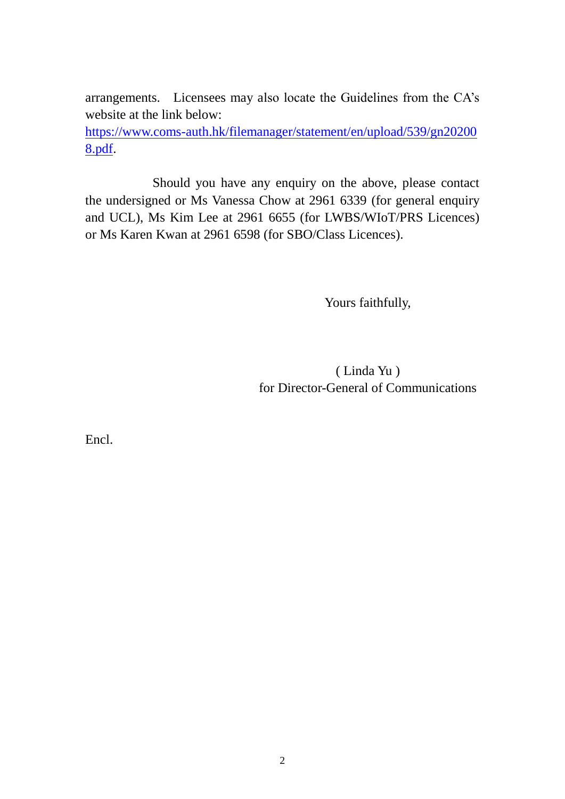arrangements. Licensees may also locate the Guidelines from the CA's website at the link below:

[https://www.coms-auth.hk/filemanager/statement/en/upload/539/gn20200](https://www.coms-auth.hk/filemanager/statement/en/upload/539/gn202008.pdf) [8.pdf.](https://www.coms-auth.hk/filemanager/statement/en/upload/539/gn202008.pdf)

Should you have any enquiry on the above, please contact the undersigned or Ms Vanessa Chow at 2961 6339 (for general enquiry and UCL), Ms Kim Lee at 2961 6655 (for LWBS/WIoT/PRS Licences) or Ms Karen Kwan at 2961 6598 (for SBO/Class Licences).

Yours faithfully,

( Linda Yu ) for Director-General of Communications

Encl.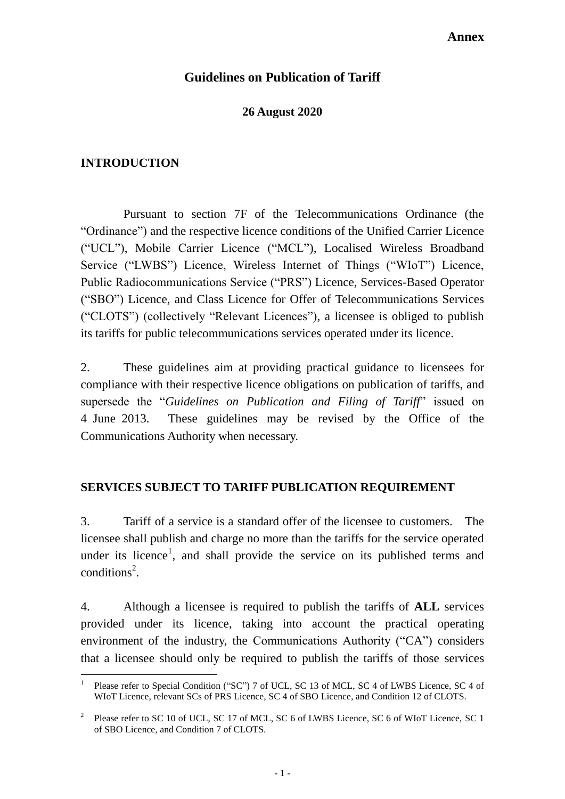#### **Annex**

## **Guidelines on Publication of Tariff**

### **26 August 2020**

#### **INTRODUCTION**

1

Pursuant to section 7F of the Telecommunications Ordinance (the "Ordinance") and the respective licence conditions of the Unified Carrier Licence ("UCL"), Mobile Carrier Licence ("MCL"), Localised Wireless Broadband Service ("LWBS") Licence, Wireless Internet of Things ("WIoT") Licence, Public Radiocommunications Service ("PRS") Licence, Services-Based Operator ("SBO") Licence, and Class Licence for Offer of Telecommunications Services ("CLOTS") (collectively "Relevant Licences"), a licensee is obliged to publish its tariffs for public telecommunications services operated under its licence.

2. These guidelines aim at providing practical guidance to licensees for compliance with their respective licence obligations on publication of tariffs, and supersede the "*Guidelines on Publication and Filing of Tariff*" issued on 4 June 2013. These guidelines may be revised by the Office of the Communications Authority when necessary.

#### **SERVICES SUBJECT TO TARIFF PUBLICATION REQUIREMENT**

3. Tariff of a service is a standard offer of the licensee to customers. The licensee shall publish and charge no more than the tariffs for the service operated under its licence<sup>1</sup>, and shall provide the service on its published terms and  $conditions<sup>2</sup>$ .

4. Although a licensee is required to publish the tariffs of **ALL** services provided under its licence, taking into account the practical operating environment of the industry, the Communications Authority ("CA") considers that a licensee should only be required to publish the tariffs of those services

<sup>1</sup> Please refer to Special Condition ("SC") 7 of UCL, SC 13 of MCL, SC 4 of LWBS Licence, SC 4 of WIoT Licence, relevant SCs of PRS Licence, SC 4 of SBO Licence, and Condition 12 of CLOTS.

<sup>2</sup> Please refer to SC 10 of UCL, SC 17 of MCL, SC 6 of LWBS Licence, SC 6 of WIoT Licence, SC 1 of SBO Licence, and Condition 7 of CLOTS.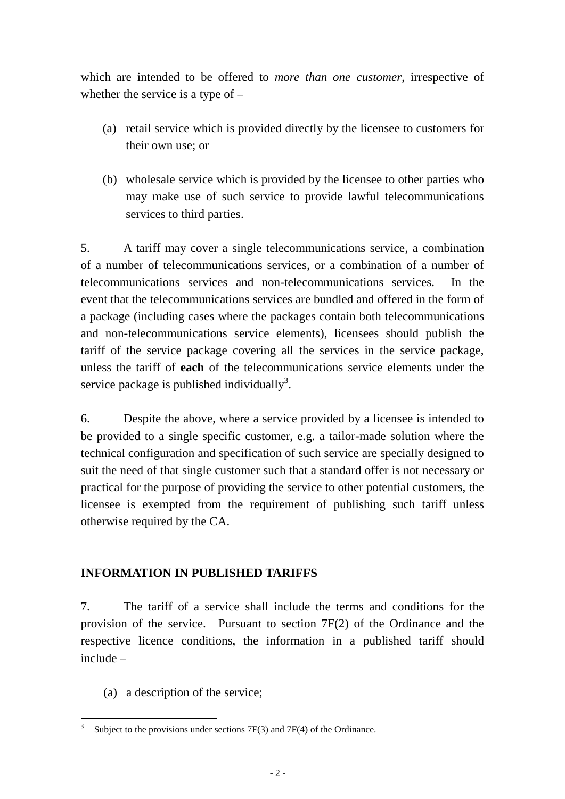which are intended to be offered to *more than one customer*, irrespective of whether the service is a type of –

- (a) retail service which is provided directly by the licensee to customers for their own use; or
- (b) wholesale service which is provided by the licensee to other parties who may make use of such service to provide lawful telecommunications services to third parties.

5. A tariff may cover a single telecommunications service, a combination of a number of telecommunications services, or a combination of a number of telecommunications services and non-telecommunications services. In the event that the telecommunications services are bundled and offered in the form of a package (including cases where the packages contain both telecommunications and non-telecommunications service elements), licensees should publish the tariff of the service package covering all the services in the service package, unless the tariff of **each** of the telecommunications service elements under the service package is published individually<sup>3</sup>.

6. Despite the above, where a service provided by a licensee is intended to be provided to a single specific customer, e.g. a tailor-made solution where the technical configuration and specification of such service are specially designed to suit the need of that single customer such that a standard offer is not necessary or practical for the purpose of providing the service to other potential customers, the licensee is exempted from the requirement of publishing such tariff unless otherwise required by the CA.

## **INFORMATION IN PUBLISHED TARIFFS**

7. The tariff of a service shall include the terms and conditions for the provision of the service. Pursuant to section 7F(2) of the Ordinance and the respective licence conditions, the information in a published tariff should include –

(a) a description of the service;

 $\frac{1}{3}$ Subject to the provisions under sections 7F(3) and 7F(4) of the Ordinance.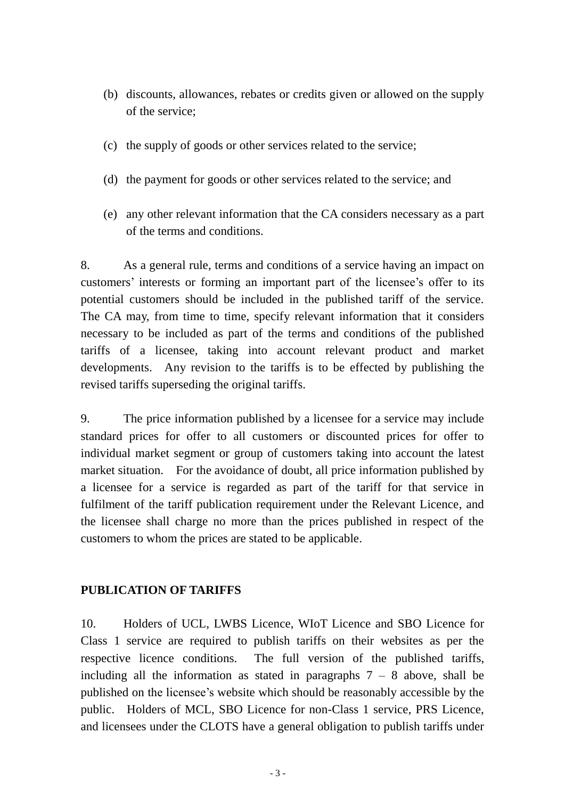- (b) discounts, allowances, rebates or credits given or allowed on the supply of the service;
- (c) the supply of goods or other services related to the service;
- (d) the payment for goods or other services related to the service; and
- (e) any other relevant information that the CA considers necessary as a part of the terms and conditions.

8. As a general rule, terms and conditions of a service having an impact on customers' interests or forming an important part of the licensee's offer to its potential customers should be included in the published tariff of the service. The CA may, from time to time, specify relevant information that it considers necessary to be included as part of the terms and conditions of the published tariffs of a licensee, taking into account relevant product and market developments. Any revision to the tariffs is to be effected by publishing the revised tariffs superseding the original tariffs.

9. The price information published by a licensee for a service may include standard prices for offer to all customers or discounted prices for offer to individual market segment or group of customers taking into account the latest market situation. For the avoidance of doubt, all price information published by a licensee for a service is regarded as part of the tariff for that service in fulfilment of the tariff publication requirement under the Relevant Licence, and the licensee shall charge no more than the prices published in respect of the customers to whom the prices are stated to be applicable.

### **PUBLICATION OF TARIFFS**

10. Holders of UCL, LWBS Licence, WIoT Licence and SBO Licence for Class 1 service are required to publish tariffs on their websites as per the respective licence conditions. The full version of the published tariffs, including all the information as stated in paragraphs  $7 - 8$  above, shall be published on the licensee's website which should be reasonably accessible by the public. Holders of MCL, SBO Licence for non-Class 1 service, PRS Licence, and licensees under the CLOTS have a general obligation to publish tariffs under